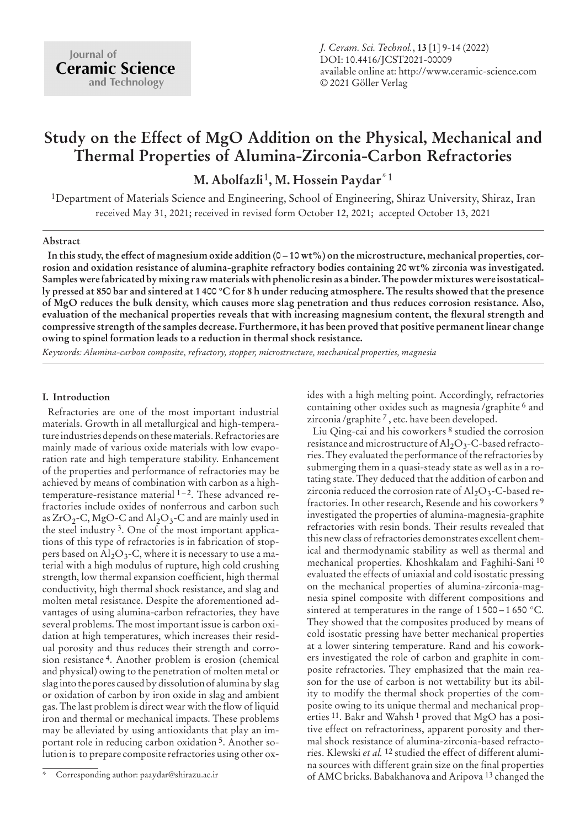# **Study on the Effect of MgO Addition on the Physical, Mechanical and Thermal Properties of Alumina-Zirconia-Carbon Refractories**

**M. Abolfazli**1**, M. Hossein Paydar**\*1

1Department of Materials Science and Engineering, School of Engineering, Shiraz University, Shiraz, Iran received May 31, 2021; received in revised form October 12, 2021; accepted October 13, 2021

## **Abstract**

**In this study, the effect of magnesium oxide addition (0 – 10 wt%) on the microstructure, mechanical properties, corrosion and oxidation resistance of alumina-graphite refractory bodies containing 20 wt% zirconia was investigated. Samples were fabricated by mixing raw materials with phenolic resin as a binder. The powder mixtures were isostatically pressed at 850 bar and sintered at 1 400 °C for 8 h under reducing atmosphere. The results showed that the presence of MgO reduces the bulk density, which causes more slag penetration and thus reduces corrosion resistance. Also, evaluation of the mechanical properties reveals that with increasing magnesium content, the flexural strength and compressive strength of the samples decrease. Furthermore, it has been proved that positive permanent linear change owing to spinel formation leads to a reduction in thermal shock resistance.**

*Keywords: Alumina-carbon composite, refractory, stopper, microstructure, mechanical properties, magnesia*

## **I. Introduction**

Refractories are one of the most important industrial materials. Growth in all metallurgical and high-temperature industries depends on these materials. Refractories are mainly made of various oxide materials with low evaporation rate and high temperature stability. Enhancement of the properties and performance of refractories may be achieved by means of combination with carbon as a hightemperature-resistance material 1–2. These advanced refractories include oxides of nonferrous and carbon such as  $ZrO_2$ -C, MgO-C and Al<sub>2</sub>O<sub>3</sub>-C and are mainly used in the steel industry 3. One of the most important applications of this type of refractories is in fabrication of stoppers based on  $\text{Al}_2\text{O}_3$ -C, where it is necessary to use a material with a high modulus of rupture, high cold crushing strength, low thermal expansion coefficient, high thermal conductivity, high thermal shock resistance, and slag and molten metal resistance. Despite the aforementioned advantages of using alumina-carbon refractories, they have several problems. The most important issue is carbon oxidation at high temperatures, which increases their residual porosity and thus reduces their strength and corrosion resistance 4. Another problem is erosion (chemical and physical) owing to the penetration of molten metal or slag into the pores caused by dissolution of alumina by slag or oxidation of carbon by iron oxide in slag and ambient gas. The last problem is direct wear with the flow of liquid iron and thermal or mechanical impacts. These problems may be alleviated by using antioxidants that play an important role in reducing carbon oxidation 5. Another solution is to prepare composite refractories using other oxides with a high melting point. Accordingly, refractories containing other oxides such as magnesia /graphite 6 and zirconia /graphite 7 , etc. have been developed.

Liu Qing-cai and his coworkers 8 studied the corrosion resistance and microstructure of  $\text{Al}_2\text{O}_3$ -C-based refractories. They evaluated the performance of the refractories by submerging them in a quasi-steady state as well as in a rotating state. They deduced that the addition of carbon and zirconia reduced the corrosion rate of  $\text{Al}_2\text{O}_3$ -C-based refractories. In other research, Resende and his coworkers 9 investigated the properties of alumina-magnesia-graphite refractories with resin bonds. Their results revealed that this new class of refractories demonstrates excellent chemical and thermodynamic stability as well as thermal and mechanical properties. Khoshkalam and Faghihi-Sani 10 evaluated the effects of uniaxial and cold isostatic pressing on the mechanical properties of alumina-zirconia-magnesia spinel composite with different compositions and sintered at temperatures in the range of  $1500 - 1650$  °C. They showed that the composites produced by means of cold isostatic pressing have better mechanical properties at a lower sintering temperature. Rand and his coworkers investigated the role of carbon and graphite in composite refractories. They emphasized that the main reason for the use of carbon is not wettability but its ability to modify the thermal shock properties of the composite owing to its unique thermal and mechanical properties <sup>11</sup>. Bakr and Wahsh<sup>1</sup> proved that MgO has a positive effect on refractoriness, apparent porosity and thermal shock resistance of alumina-zirconia-based refractories. Klewski *et al.* 12 studied the effect of different alumina sources with different grain size on the final properties of AMC bricks. Babakhanova and Aripova 13 changed the

Corresponding author: paaydar@shirazu.ac.ir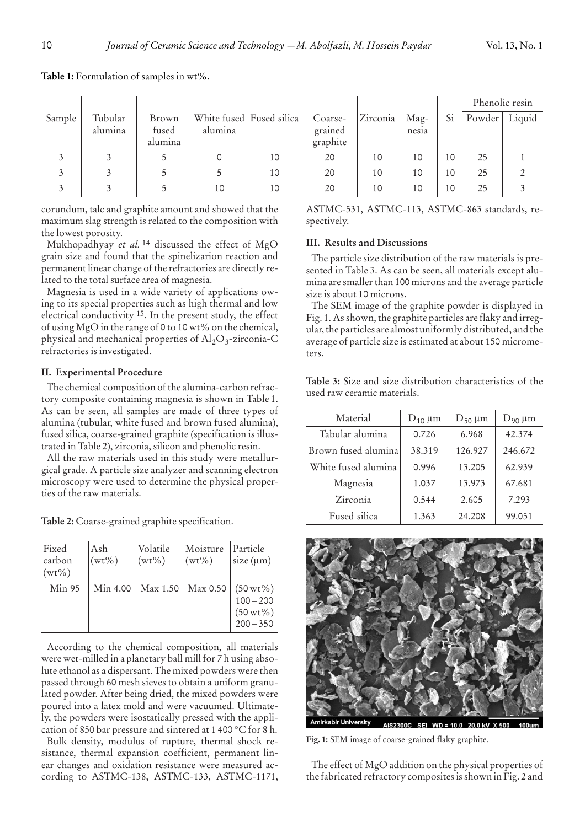|        |                    |                           |         |                          |                                |          |                        |    | Phenolic resin |        |
|--------|--------------------|---------------------------|---------|--------------------------|--------------------------------|----------|------------------------|----|----------------|--------|
| Sample | Tubular<br>alumina | Brown<br>fused<br>alumina | alumina | White fused Fused silica | Coarse-<br>grained<br>graphite | Zirconia | $\text{Mag}-$<br>nesia | Si | Powder         | Liquid |
|        |                    |                           |         | 10                       | 20                             | 10       | 10                     | 10 | 25             |        |
|        |                    |                           |         | 10                       | 20                             | 10       | 10                     | 10 | 25             |        |
|        |                    |                           | 10      | 10                       | 20                             | 10       | 10                     | 10 | 25             |        |

**Table 1:** Formulation of samples in wt%.

corundum, talc and graphite amount and showed that the maximum slag strength is related to the composition with the lowest porosity.

Mukhopadhyay *et al.* 14 discussed the effect of MgO grain size and found that the spinelizarion reaction and permanent linear change of the refractories are directly related to the total surface area of magnesia.

Magnesia is used in a wide variety of applications owing to its special properties such as high thermal and low electrical conductivity 15. In the present study, the effect of using MgO in the range of 0 to 10 wt% on the chemical, physical and mechanical properties of  $Al_2O_3$ -zirconia-C refractories is investigated.

## **II. Experimental Procedure**

The chemical composition of the alumina-carbon refractory composite containing magnesia is shown in Table 1. As can be seen, all samples are made of three types of alumina (tubular, white fused and brown fused alumina), fused silica, coarse-grained graphite (specification is illustrated in Table 2), zirconia, silicon and phenolic resin.

All the raw materials used in this study were metallurgical grade. A particle size analyzer and scanning electron microscopy were used to determine the physical properties of the raw materials.

**Table 2:** Coarse-grained graphite specification.

| Fixed<br>carbon<br>$(wt\%)$ | Ash<br>$(wt\%)$ | Volatile<br>$(wt\%)$ | Moisture<br>$(wt\%)$ | Particle<br>$size(\mu m)$                                           |
|-----------------------------|-----------------|----------------------|----------------------|---------------------------------------------------------------------|
| <b>Min 95</b>               | Min 4.00        |                      | Max 1.50   Max 0.50  | $(50 \,\mathrm{wt}\%)$<br>$100 - 200$<br>$(50 wt\%)$<br>$200 - 350$ |

According to the chemical composition, all materials were wet-milled in a planetary ball mill for 7 h using absolute ethanol as a dispersant. The mixed powders were then passed through 60 mesh sieves to obtain a uniform granulated powder. After being dried, the mixed powders were poured into a latex mold and were vacuumed. Ultimately, the powders were isostatically pressed with the application of 850 bar pressure and sintered at 1 400 °C for 8 h.

Bulk density, modulus of rupture, thermal shock resistance, thermal expansion coefficient, permanent linear changes and oxidation resistance were measured according to ASTMC-138, ASTMC-133, ASTMC-1171, ASTMC-531, ASTMC-113, ASTMC-863 standards, respectively.

## **III. Results and Discussions**

used raw ceramic materials.

The particle size distribution of the raw materials is presented in Table 3. As can be seen, all materials except alumina are smaller than 100 microns and the average particle size is about 10 microns.

The SEM image of the graphite powder is displayed in Fig. 1. As shown, the graphite particles are flaky and irregular, the particles are almost uniformly distributed, and the average of particle size is estimated at about 150 micrometers.

**Table 3:** Size and size distribution characteristics of the

| Material            | $D_{10} \mu m$ | $D_{50}$ µm | $D_{90} \mu m$ |  |
|---------------------|----------------|-------------|----------------|--|
| Tabular alumina     | 0.726          | 6.968       | 42.374         |  |
| Brown fused alumina | 38.319         | 126.927     | 246.672        |  |
| White fused alumina | 0.996          | 13.205      | 62.939         |  |
| Magnesia            | 1.037          | 13.973      | 67.681         |  |
| Zirconia            | 0.544          | 2.605       | 7.293          |  |
| Fused silica        | 1.363          | 24.208      | 99.051         |  |



**Fig. 1:** SEM image of coarse-grained flaky graphite.

The effect of MgO addition on the physical properties of the fabricated refractory composites is shown in Fig. 2 and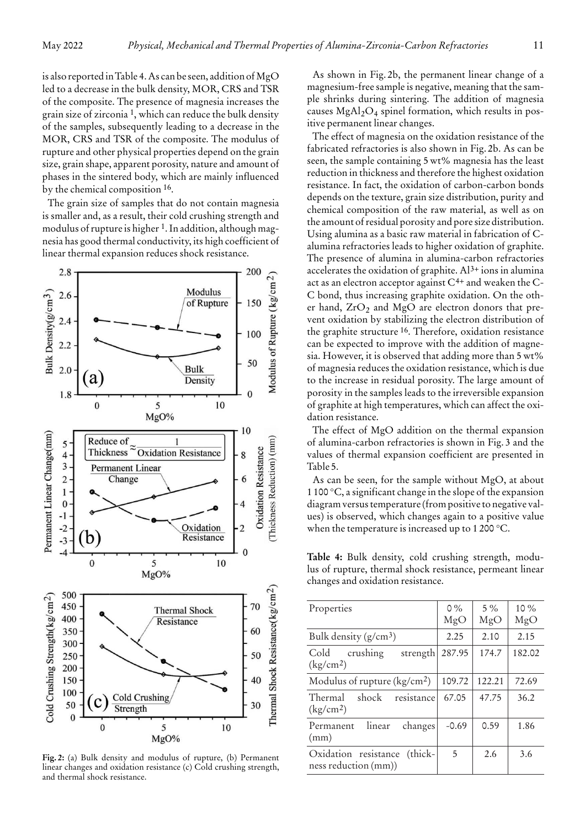is also reported in Table 4. As can be seen, addition of MgO led to a decrease in the bulk density, MOR, CRS and TSR of the composite. The presence of magnesia increases the grain size of zirconia 1, which can reduce the bulk density of the samples, subsequently leading to a decrease in the MOR, CRS and TSR of the composite. The modulus of rupture and other physical properties depend on the grain size, grain shape, apparent porosity, nature and amount of phases in the sintered body, which are mainly influenced by the chemical composition 16.

The grain size of samples that do not contain magnesia is smaller and, as a result, their cold crushing strength and modulus of rupture is higher 1. In addition, although magnesia has good thermal conductivity, its high coefficient of linear thermal expansion reduces shock resistance.



**Fig. 2:** (a) Bulk density and modulus of rupture, (b) Permanent linear changes and oxidation resistance (c) Cold crushing strength, and thermal shock resistance.

As shown in Fig. 2b, the permanent linear change of a magnesium-free sample is negative, meaning that the sample shrinks during sintering. The addition of magnesia causes  $MgAl<sub>2</sub>O<sub>4</sub>$  spinel formation, which results in positive permanent linear changes.

The effect of magnesia on the oxidation resistance of the fabricated refractories is also shown in Fig. 2b. As can be seen, the sample containing 5 wt% magnesia has the least reduction in thickness and therefore the highest oxidation resistance. In fact, the oxidation of carbon-carbon bonds depends on the texture, grain size distribution, purity and chemical composition of the raw material, as well as on the amount of residual porosity and pore size distribution. Using alumina as a basic raw material in fabrication of Calumina refractories leads to higher oxidation of graphite. The presence of alumina in alumina-carbon refractories accelerates the oxidation of graphite.  $Al^{3+}$  ions in alumina act as an electron acceptor against  $C^{4+}$  and weaken the  $C$ -C bond, thus increasing graphite oxidation. On the other hand,  $ZrO<sub>2</sub>$  and MgO are electron donors that prevent oxidation by stabilizing the electron distribution of the graphite structure 16. Therefore, oxidation resistance can be expected to improve with the addition of magnesia. However, it is observed that adding more than 5 wt% of magnesia reduces the oxidation resistance, which is due to the increase in residual porosity. The large amount of porosity in the samples leads to the irreversible expansion of graphite at high temperatures, which can affect the oxidation resistance.

The effect of MgO addition on the thermal expansion of alumina-carbon refractories is shown in Fig. 3 and the values of thermal expansion coefficient are presented in Table 5.

As can be seen, for the sample without MgO, at about 1 100 °C, a significant change in the slope of the expansion diagram versus temperature (from positive to negative values) is observed, which changes again to a positive value when the temperature is increased up to 1 200 °C.

**Table 4:** Bulk density, cold crushing strength, modulus of rupture, thermal shock resistance, permeant linear changes and oxidation resistance.

| Properties                                              | $0\%$<br>MgO | $5\%$<br>MgO | $10\%$<br>MgO |
|---------------------------------------------------------|--------------|--------------|---------------|
| Bulk density $(g/cm^3)$                                 | 2.25         | 2.10         | 2.15          |
| Cold<br>crushing<br>strength<br>(kg/cm <sup>2</sup> )   | 287.95       | 174.7        | 182.02        |
| Modulus of rupture $(kg/cm2)$                           | 109.72       | 122.21       | 72.69         |
| Thermal<br>shock<br>resistance<br>(kg/cm <sup>2</sup> ) | 67.05        | 47.75        | 36.2          |
| linear<br>Permanent<br>changes<br>(mm)                  | $-0.69$      | 0.59         | 1.86          |
| Oxidation resistance<br>(thick-<br>ness reduction (mm)) | 5            | 2.6          | 3.6           |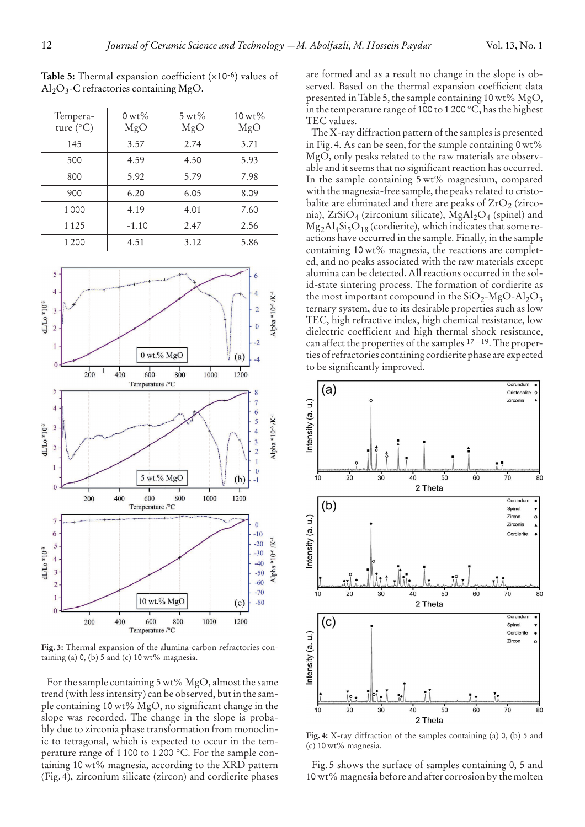| Tempera-           | $0 \,\mathrm{wt}$ % | $5 \,\mathrm{wt}$ % | $10 \,\mathrm{wt}$ % |
|--------------------|---------------------|---------------------|----------------------|
| ture $(^{\circ}C)$ | MgO                 | MgO                 | MgO                  |
| 145                | 3.57                | 2.74                | 3.71                 |
| 500                | 4.59                | 4.50                | 5.93                 |
| 800                | 5.92                | 5.79                | 7.98                 |
| 900                | 6.20                | 6.05                | 8.09                 |
| 1000               | 4.19                | 4.01                | 7.60                 |
| 1 1 2 5            | $-1.10$             | 2.47                | 2.56                 |
| 1 2 0 0            | 4.51                | 3.12                | 5.86                 |

**Table 5:** Thermal expansion coefficient (×10-6) values of

 $Al_2O_3$ -C refractories containing MgO.



**Fig. 3:** Thermal expansion of the alumina-carbon refractories containing (a)  $0$ , (b) 5 and (c) 10 wt% magnesia.

For the sample containing 5 wt% MgO, almost the same trend (with less intensity) can be observed, but in the sample containing 10 wt% MgO, no significant change in the slope was recorded. The change in the slope is probably due to zirconia phase transformation from monoclinic to tetragonal, which is expected to occur in the temperature range of 1 100 to 1 200 °C. For the sample containing 10 wt% magnesia, according to the XRD pattern (Fig. 4), zirconium silicate (zircon) and cordierite phases

are formed and as a result no change in the slope is observed. Based on the thermal expansion coefficient data presented in Table 5, the sample containing 10 wt% MgO, in the temperature range of 100 to 1 200 °C, has the highest TEC values.

The X-ray diffraction pattern of the samples is presented in Fig. 4. As can be seen, for the sample containing 0 wt% MgO, only peaks related to the raw materials are observable and it seems that no significant reaction has occurred. In the sample containing 5 wt% magnesium, compared with the magnesia-free sample, the peaks related to cristobalite are eliminated and there are peaks of  $ZrO<sub>2</sub>$  (zirconia), ZrSiO<sub>4</sub> (zirconium silicate), MgAl<sub>2</sub>O<sub>4</sub> (spinel) and  $Mg<sub>2</sub>Al<sub>4</sub>Si<sub>5</sub>O<sub>18</sub>$  (cordierite), which indicates that some reactions have occurred in the sample. Finally, in the sample containing 10 wt% magnesia, the reactions are completed, and no peaks associated with the raw materials except alumina can be detected. All reactions occurred in the solid-state sintering process. The formation of cordierite as the most important compound in the  $SiO_2-MgO-Al_2O_3$ ternary system, due to its desirable properties such as low TEC, high refractive index, high chemical resistance, low dielectric coefficient and high thermal shock resistance, can affect the properties of the samples  $17 - 19$ . The properties of refractories containing cordierite phase are expected to be significantly improved.



**Fig. 4:** X-ray diffraction of the samples containing (a) 0, (b) 5 and (c) 10 wt% magnesia.

Fig. 5 shows the surface of samples containing 0, 5 and 10 wt% magnesia before and after corrosion by the molten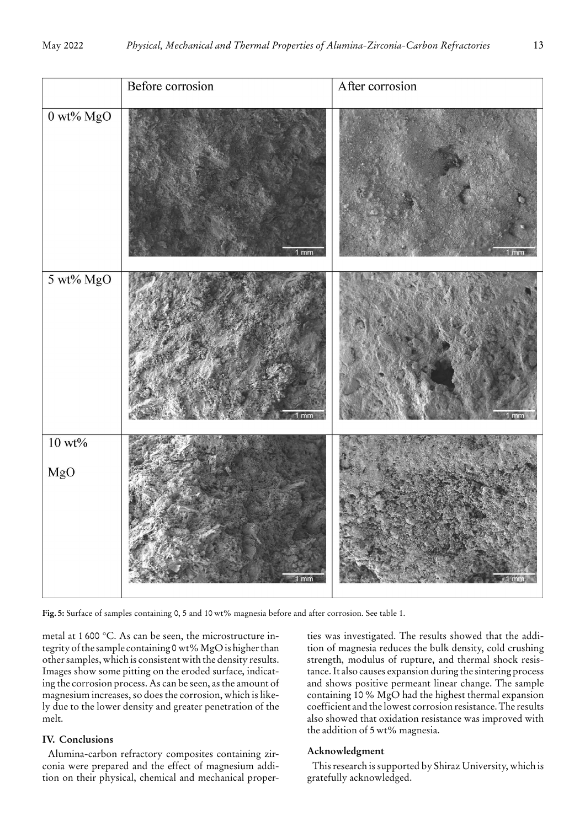

**Fig. 5:** Surface of samples containing 0, 5 and 10 wt% magnesia before and after corrosion. See table 1.

metal at 1 600 °C. As can be seen, the microstructure integrity of the sample containing 0 wt% MgO is higher than other samples, which is consistent with the density results. Images show some pitting on the eroded surface, indicating the corrosion process. As can be seen, as the amount of magnesium increases, so does the corrosion, which is likely due to the lower density and greater penetration of the melt.

## **IV. Conclusions**

Alumina-carbon refractory composites containing zirconia were prepared and the effect of magnesium addition on their physical, chemical and mechanical properties was investigated. The results showed that the addition of magnesia reduces the bulk density, cold crushing strength, modulus of rupture, and thermal shock resistance. It also causes expansion during the sintering process and shows positive permeant linear change. The sample containing 10 % MgO had the highest thermal expansion coefficient and the lowest corrosion resistance. The results also showed that oxidation resistance was improved with the addition of 5 wt% magnesia.

## **Acknowledgment**

This research is supported by Shiraz University, which is gratefully acknowledged.